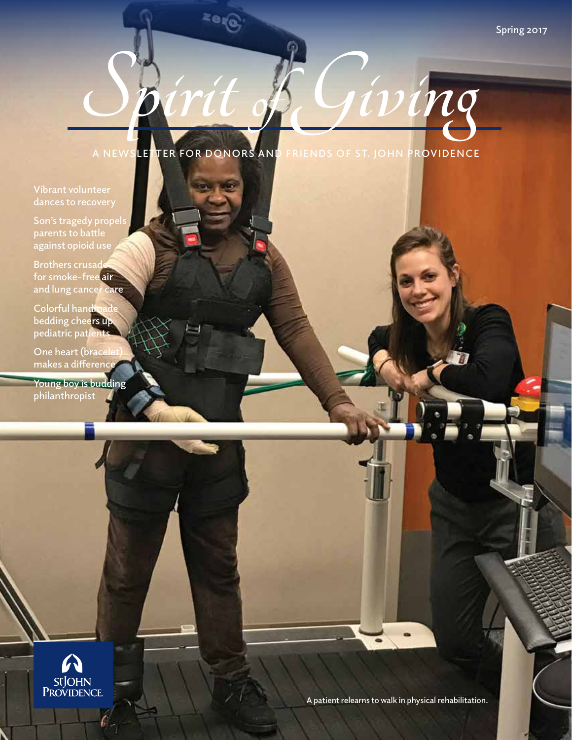$ivinq$ 

**A NEWSLETTER FOR DONORS AND FRIENDS OF ST. JOHN PROVIDENCE**

ze<sub>t</sub>o

## **Vibrant volunteer**

Son's tragedy propels **parents to battle against opioid use**

**Brothers crusade for smoke-free air and lung cancer care**

**Colorful handmade bedding cheers up pediatric patients**

**One heart (bracele** makes a differenc

**Young boy is budding philanthropist**



**A patient relearns to walk in physical rehabilitation.**